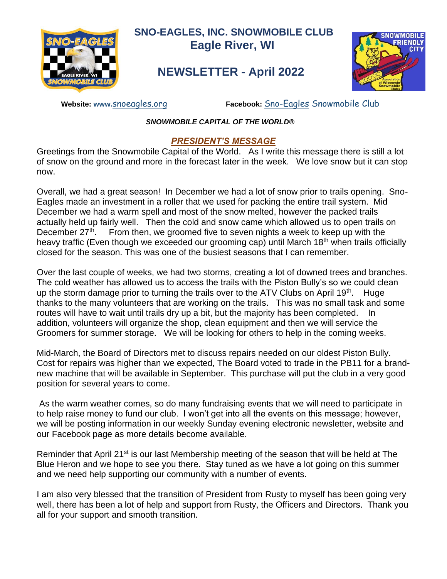

 **SNO-EAGLES, INC. SNOWMOBILE CLUB Eagle River, WI**

# **NEWSLETTER - April 2022**



 **Website: www.**[snoeagles.org](http://snoeagles.org/) **Facebook:** [Sno-Eagles](http://facebook.com/snoeaglesclub) Snowmobile Club

### *SNOWMOBILE CAPITAL OF THE WORLD®*

### *PRESIDENT'S MESSAGE*

Greetings from the Snowmobile Capital of the World. As I write this message there is still a lot of snow on the ground and more in the forecast later in the week. We love snow but it can stop now.

Overall, we had a great season! In December we had a lot of snow prior to trails opening. Sno-Eagles made an investment in a roller that we used for packing the entire trail system. Mid December we had a warm spell and most of the snow melted, however the packed trails actually held up fairly well. Then the cold and snow came which allowed us to open trails on December 27<sup>th</sup>. From then, we groomed five to seven nights a week to keep up with the heavy traffic (Even though we exceeded our grooming cap) until March 18<sup>th</sup> when trails officially closed for the season. This was one of the busiest seasons that I can remember.

Over the last couple of weeks, we had two storms, creating a lot of downed trees and branches. The cold weather has allowed us to access the trails with the Piston Bully's so we could clean up the storm damage prior to turning the trails over to the ATV Clubs on April 19<sup>th</sup>. Huge thanks to the many volunteers that are working on the trails. This was no small task and some routes will have to wait until trails dry up a bit, but the majority has been completed. In addition, volunteers will organize the shop, clean equipment and then we will service the Groomers for summer storage. We will be looking for others to help in the coming weeks.

Mid-March, the Board of Directors met to discuss repairs needed on our oldest Piston Bully. Cost for repairs was higher than we expected, The Board voted to trade in the PB11 for a brandnew machine that will be available in September. This purchase will put the club in a very good position for several years to come.

As the warm weather comes, so do many fundraising events that we will need to participate in to help raise money to fund our club. I won't get into all the events on this message; however, we will be posting information in our weekly Sunday evening electronic newsletter, website and our Facebook page as more details become available.

Reminder that April 21<sup>st</sup> is our last Membership meeting of the season that will be held at The Blue Heron and we hope to see you there. Stay tuned as we have a lot going on this summer and we need help supporting our community with a number of events.

I am also very blessed that the transition of President from Rusty to myself has been going very well, there has been a lot of help and support from Rusty, the Officers and Directors. Thank you all for your support and smooth transition.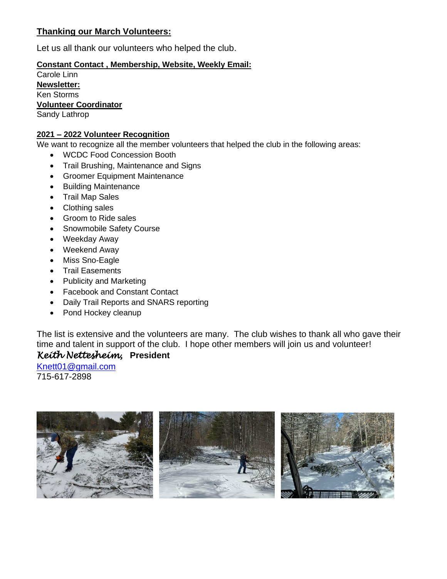### **Thanking our March Volunteers:**

Let us all thank our volunteers who helped the club.

### **Constant Contact , Membership, Website, Weekly Email:**

Carole Linn **Newsletter:** Ken Storms **Volunteer Coordinator** Sandy Lathrop

### **2021 – 2022 Volunteer Recognition**

We want to recognize all the member volunteers that helped the club in the following areas:

- WCDC Food Concession Booth
- Trail Brushing, Maintenance and Signs
- Groomer Equipment Maintenance
- Building Maintenance
- Trail Map Sales
- Clothing sales
- Groom to Ride sales
- Snowmobile Safety Course
- Weekday Away
- Weekend Away
- Miss Sno-Eagle
- Trail Easements
- Publicity and Marketing
- Facebook and Constant Contact
- Daily Trail Reports and SNARS reporting
- Pond Hockey cleanup

The list is extensive and the volunteers are many. The club wishes to thank all who gave their time and talent in support of the club. I hope other members will join us and volunteer!

### *Keith Nettesheim,* **President**

[Knett01@gmail.com](about:blank) 715-617-2898

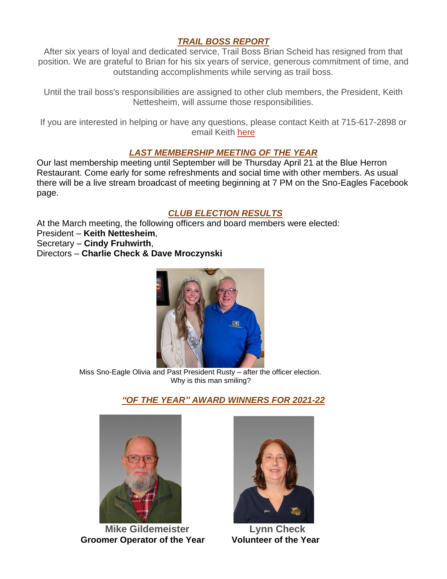### *TRAIL BOSS REPORT*

After six years of loyal and dedicated service, Trail Boss Brian Scheid has resigned from that position. We are grateful to Brian for his six years of service, generous commitment of time, and outstanding accomplishments while serving as trail boss.

Until the trail boss's responsibilities are assigned to other club members, the President, Keith Nettesheim, will assume those responsibilities.

If you are interested in helping or have any questions, please contact Keith at 715-617-2898 or email Keith [here](mailto:Knett01@gmail.com)

### *LAST MEMBERSHIP MEETING OF THE YEAR*

Our last membership meeting until September will be Thursday April 21 at the Blue Herron Restaurant. Come early for some refreshments and social time with other members. As usual there will be a live stream broadcast of meeting beginning at 7 PM on the Sno-Eagles Facebook page.

### *CLUB ELECTION RESULTS*

At the March meeting, the following officers and board members were elected: President – **Keith Nettesheim**, Secretary – **Cindy Fruhwirth**,

Directors – **Charlie Check & Dave Mroczynski**



 Miss Sno-Eagle Olivia and Past President Rusty – after the officer election. Why is this man smiling?

### *"OF THE YEAR" AWARD WINNERS FOR 2021-22*



 **Mike Gildemeister Lynn Check Groomer Operator of the Year Volunteer of the Year** 

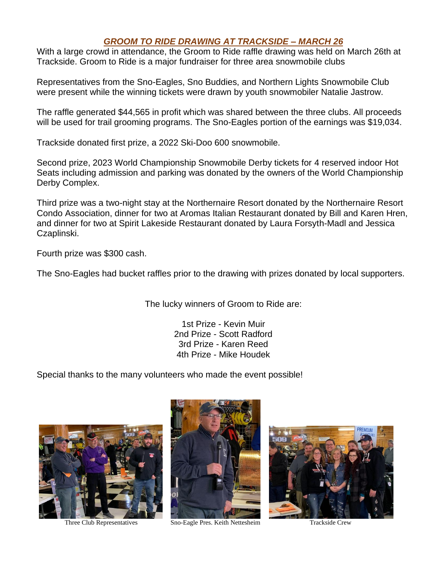### *GROOM TO RIDE DRAWING AT TRACKSIDE – MARCH 26*

With a large crowd in attendance, the Groom to Ride raffle drawing was held on March 26th at Trackside. Groom to Ride is a major fundraiser for three area snowmobile clubs

Representatives from the Sno-Eagles, Sno Buddies, and Northern Lights Snowmobile Club were present while the winning tickets were drawn by youth snowmobiler Natalie Jastrow.

The raffle generated \$44,565 in profit which was shared between the three clubs. All proceeds will be used for trail grooming programs. The Sno-Eagles portion of the earnings was \$19,034.

Trackside donated first prize, a 2022 Ski-Doo 600 snowmobile.

Second prize, 2023 World Championship Snowmobile Derby tickets for 4 reserved indoor Hot Seats including admission and parking was donated by the owners of the World Championship Derby Complex.

Third prize was a two-night stay at the Northernaire Resort donated by the Northernaire Resort Condo Association, dinner for two at Aromas Italian Restaurant donated by Bill and Karen Hren, and dinner for two at Spirit Lakeside Restaurant donated by Laura Forsyth-Madl and Jessica Czaplinski.

Fourth prize was \$300 cash.

The Sno-Eagles had bucket raffles prior to the drawing with prizes donated by local supporters.

The lucky winners of Groom to Ride are:

1st Prize - Kevin Muir 2nd Prize - Scott Radford 3rd Prize - Karen Reed 4th Prize - Mike Houdek

Special thanks to the many volunteers who made the event possible!





Three Club Representatives Sno-Eagle Pres. Keith Nettesheim Trackside Crew

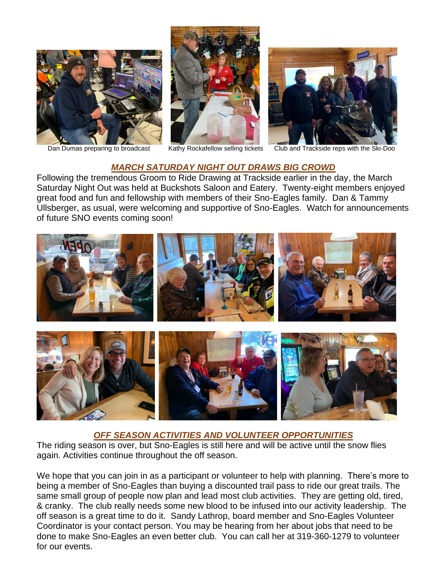





Dan Dumas preparing to broadcast Kathy Rockafellow selling tickets Club and Trackside reps with the Ski-Doo

#### *MARCH SATURDAY NIGHT OUT DRAWS BIG CROWD*

l,

Following the tremendous Groom to Ride Drawing at Trackside earlier in the day, the March Saturday Night Out was held at Buckshots Saloon and Eatery. Twenty-eight members enjoyed great food and fun and fellowship with members of their Sno-Eagles family. Dan & Tammy Ullsberger, as usual, were welcoming and supportive of Sno-Eagles. Watch for announcements of future SNO events coming soon!



#### *OFF SEASON ACTIVITIES AND VOLUNTEER OPPORTUNITIES*

The riding season is over, but Sno-Eagles is still here and will be active until the snow flies again. Activities continue throughout the off season.

We hope that you can join in as a participant or volunteer to help with planning. There's more to being a member of Sno-Eagles than buying a discounted trail pass to ride our great trails. The same small group of people now plan and lead most club activities. They are getting old, tired, & cranky. The club really needs some new blood to be infused into our activity leadership. The off season is a great time to do it. Sandy Lathrop, board member and Sno-Eagles Volunteer Coordinator is your contact person. You may be hearing from her about jobs that need to be done to make Sno-Eagles an even better club. You can call her at 319-360-1279 to volunteer for our events.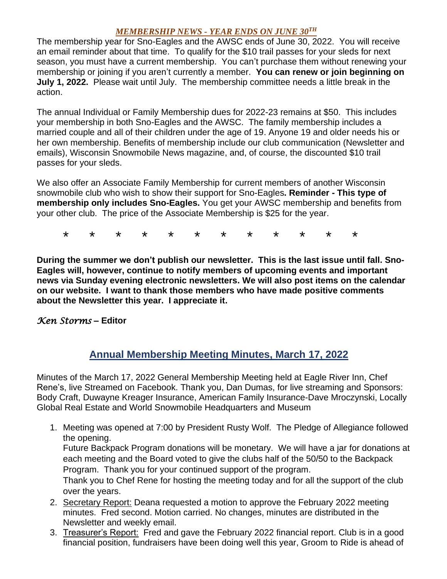### *MEMBERSHIP NEWS - YEAR ENDS ON JUNE 30TH*

The membership year for Sno-Eagles and the AWSC ends of June 30, 2022. You will receive an email reminder about that time. To qualify for the \$10 trail passes for your sleds for next season, you must have a current membership. You can't purchase them without renewing your membership or joining if you aren't currently a member. **You can renew or join beginning on July 1, 2022.** Please wait until July. The membership committee needs a little break in the action.

The annual Individual or Family Membership dues for 2022-23 remains at \$50. This includes your membership in both Sno-Eagles and the AWSC. The family membership includes a married couple and all of their children under the age of 19. Anyone 19 and older needs his or her own membership. Benefits of membership include our club communication (Newsletter and emails), Wisconsin Snowmobile News magazine, and, of course, the discounted \$10 trail passes for your sleds.

We also offer an Associate Family Membership for current members of another Wisconsin snowmobile club who wish to show their support for Sno-Eagles**. Reminder - This type of membership only includes Sno-Eagles.** You get your AWSC membership and benefits from your other club. The price of the Associate Membership is \$25 for the year.

\* \* \* \* \* \* \* \* \* \* \* \*

**During the summer we don't publish our newsletter. This is the last issue until fall. Sno-Eagles will, however, continue to notify members of upcoming events and important news via Sunday evening electronic newsletters. We will also post items on the calendar on our website. I want to thank those members who have made positive comments about the Newsletter this year. I appreciate it.** 

### *Ken Storms* **– Editor**

## **Annual Membership Meeting Minutes, March 17, 2022**

Minutes of the March 17, 2022 General Membership Meeting held at Eagle River Inn, Chef Rene's, live Streamed on Facebook. Thank you, Dan Dumas, for live streaming and Sponsors: Body Craft, Duwayne Kreager Insurance, American Family Insurance-Dave Mroczynski, Locally Global Real Estate and World Snowmobile Headquarters and Museum

1. Meeting was opened at 7:00 by President Rusty Wolf. The Pledge of Allegiance followed the opening.

Future Backpack Program donations will be monetary. We will have a jar for donations at each meeting and the Board voted to give the clubs half of the 50/50 to the Backpack Program. Thank you for your continued support of the program.

Thank you to Chef Rene for hosting the meeting today and for all the support of the club over the years.

- 2. Secretary Report: Deana requested a motion to approve the February 2022 meeting minutes. Fred second. Motion carried. No changes, minutes are distributed in the Newsletter and weekly email.
- 3. Treasurer's Report: Fred and gave the February 2022 financial report. Club is in a good financial position, fundraisers have been doing well this year, Groom to Ride is ahead of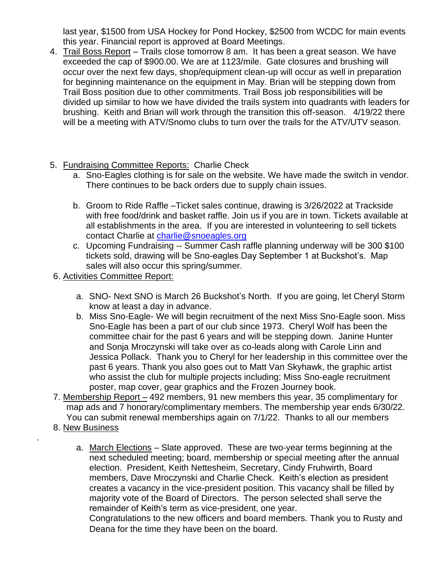last year, \$1500 from USA Hockey for Pond Hockey, \$2500 from WCDC for main events this year. Financial report is approved at Board Meetings.

- 4. Trail Boss Report Trails close tomorrow 8 am. It has been a great season. We have exceeded the cap of \$900.00. We are at 1123/mile. Gate closures and brushing will occur over the next few days, shop/equipment clean-up will occur as well in preparation for beginning maintenance on the equipment in May. Brian will be stepping down from Trail Boss position due to other commitments. Trail Boss job responsibilities will be divided up similar to how we have divided the trails system into quadrants with leaders for brushing. Keith and Brian will work through the transition this off-season. 4/19/22 there will be a meeting with ATV/Snomo clubs to turn over the trails for the ATV/UTV season.
- 5. Fundraising Committee Reports: Charlie Check
	- a. Sno-Eagles clothing is for sale on the website. We have made the switch in vendor. There continues to be back orders due to supply chain issues.
	- b. Groom to Ride Raffle –Ticket sales continue, drawing is 3/26/2022 at Trackside with free food/drink and basket raffle. Join us if you are in town. Tickets available at all establishments in the area. If you are interested in volunteering to sell tickets contact Charlie at [charlie@snoeagles.org](about:blank)
	- c. Upcoming Fundraising -- Summer Cash raffle planning underway will be 300 \$100 tickets sold, drawing will be Sno-eagles Day September 1 at Buckshot's. Map sales will also occur this spring/summer.
- 6. Activities Committee Report:
	- a. SNO- Next SNO is March 26 Buckshot's North. If you are going, let Cheryl Storm know at least a day in advance.
	- b. Miss Sno-Eagle- We will begin recruitment of the next Miss Sno-Eagle soon. Miss Sno-Eagle has been a part of our club since 1973. Cheryl Wolf has been the committee chair for the past 6 years and will be stepping down. Janine Hunter and Sonja Mroczynski will take over as co-leads along with Carole Linn and Jessica Pollack. Thank you to Cheryl for her leadership in this committee over the past 6 years. Thank you also goes out to Matt Van Skyhawk, the graphic artist who assist the club for multiple projects including; Miss Sno-eagle recruitment poster, map cover, gear graphics and the Frozen Journey book.
- 7. Membership Report 492 members, 91 new members this year, 35 complimentary for map ads and 7 honorary/complimentary members. The membership year ends 6/30/22. You can submit renewal memberships again on 7/1/22. Thanks to all our members
- 8. New Business

.

a. March Elections – Slate approved. These are two-year terms beginning at the next scheduled meeting; board, membership or special meeting after the annual election. President, Keith Nettesheim, Secretary, Cindy Fruhwirth, Board members, Dave Mroczynski and Charlie Check. Keith's election as president creates a vacancy in the vice-president position. This vacancy shall be filled by majority vote of the Board of Directors. The person selected shall serve the remainder of Keith's term as vice-president, one year.

Congratulations to the new officers and board members. Thank you to Rusty and Deana for the time they have been on the board.